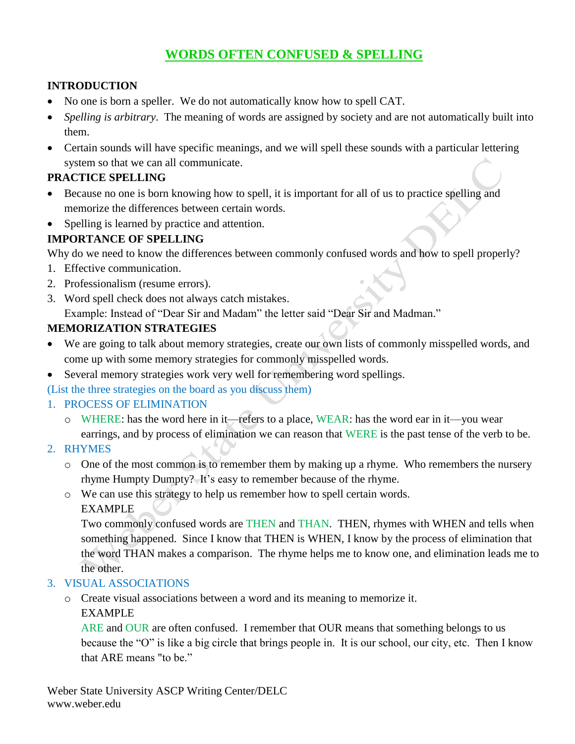# **WORDS OFTEN CONFUSED & SPELLING**

### **INTRODUCTION**

- No one is born a speller. We do not automatically know how to spell CAT.
- *Spelling is arbitrary*. The meaning of words are assigned by society and are not automatically built into them.
- Certain sounds will have specific meanings, and we will spell these sounds with a particular lettering system so that we can all communicate.

#### **PRACTICE SPELLING**

- Because no one is born knowing how to spell, it is important for all of us to practice spelling and memorize the differences between certain words.
- Spelling is learned by practice and attention.

## **IMPORTANCE OF SPELLING**

Why do we need to know the differences between commonly confused words and how to spell properly?

- 1. Effective communication.
- 2. Professionalism (resume errors).
- 3. Word spell check does not always catch mistakes.

Example: Instead of "Dear Sir and Madam" the letter said "Dear Sir and Madman."

# **MEMORIZATION STRATEGIES**

- We are going to talk about memory strategies, create our own lists of commonly misspelled words, and come up with some memory strategies for commonly misspelled words.
- Several memory strategies work very well for remembering word spellings.

(List the three strategies on the board as you discuss them)

### 1. PROCESS OF ELIMINATION

- o WHERE: has the word here in it—refers to a place, WEAR: has the word ear in it—you wear earrings, and by process of elimination we can reason that WERE is the past tense of the verb to be.
- 2. RHYMES
	- o One of the most common is to remember them by making up a rhyme. Who remembers the nursery rhyme Humpty Dumpty? It's easy to remember because of the rhyme.
	- o We can use this strategy to help us remember how to spell certain words.

EXAMPLE

Two commonly confused words are THEN and THAN. THEN, rhymes with WHEN and tells when something happened. Since I know that THEN is WHEN, I know by the process of elimination that the word THAN makes a comparison. The rhyme helps me to know one, and elimination leads me to the other.

### 3. VISUAL ASSOCIATIONS

o Create visual associations between a word and its meaning to memorize it. EXAMPLE

ARE and OUR are often confused. I remember that OUR means that something belongs to us because the "O" is like a big circle that brings people in. It is our school, our city, etc. Then I know that ARE means "to be."